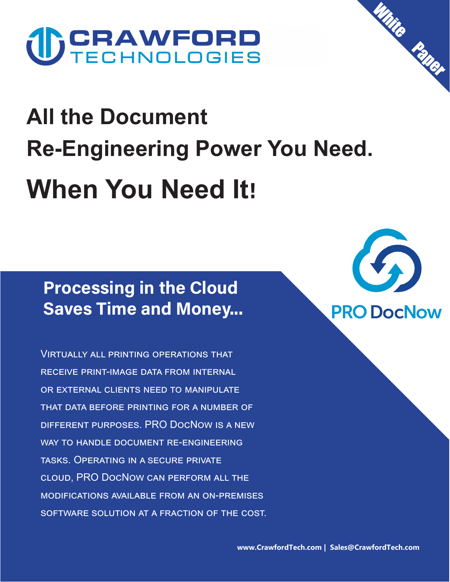# **U) CRAWFORD**

## **All the Document Re-Engineering Power You Need. When You Need It!**

## **Processing in the Cloud Saves Time and Money...**

Virtually all printing operations that receive print-image data from internal or external clients need to manipulate that data before printing for a number of different purposes. PRO DocNow is a new way to handle document re-engineering tasks. Operating in a secure private cloud, PRO DocNow can perform all the modifications available from an on-premises software solution at a fraction of the cost.



**White** 

**Paper**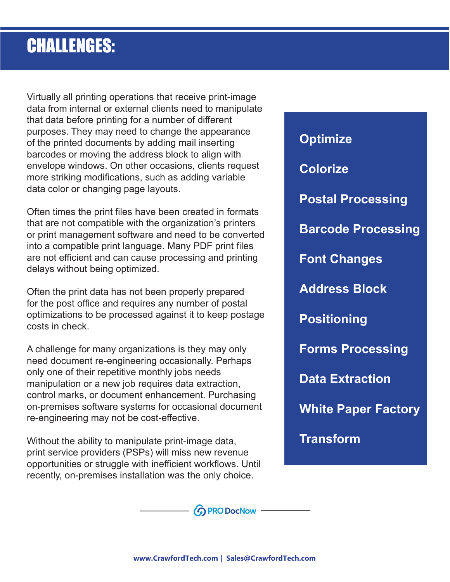## **CHALLENGES:**

Virtually all printing operations that receive print-image data from internal or external clients need to manipulate that data before printing for a number of different purposes. They may need to change the appearance of the printed documents by adding mail inserting barcodes or moving the address block to align with envelope windows. On other occasions, clients request more striking modifications, such as adding variable data color or changing page layouts.

Often times the print files have been created in formats that are not compatible with the organization's printers or print management software and need to be converted into a compatible print language. Many PDF print files are not efficient and can cause processing and printing delays without being optimized.

Often the print data has not been properly prepared for the post office and requires any number of postal optimizations to be processed against it to keep postage costs in check.

A challenge for many organizations is they may only need document re-engineering occasionally. Perhaps only one of their repetitive monthly jobs needs manipulation or a new job requires data extraction, control marks, or document enhancement. Purchasing on-premises software systems for occasional document re-engineering may not be cost-effective.

Without the ability to manipulate print-image data, print service providers (PSPs) will miss new revenue opportunities or struggle with inefficient workflows. Until recently, on-premises installation was the only choice.

**Optimize Colorize Postal Processing Barcode Processing Font Changes Address Block Positioning Forms Processing Data Extraction White Paper Factory**

**Transform**

**۞ PRO DocNow** -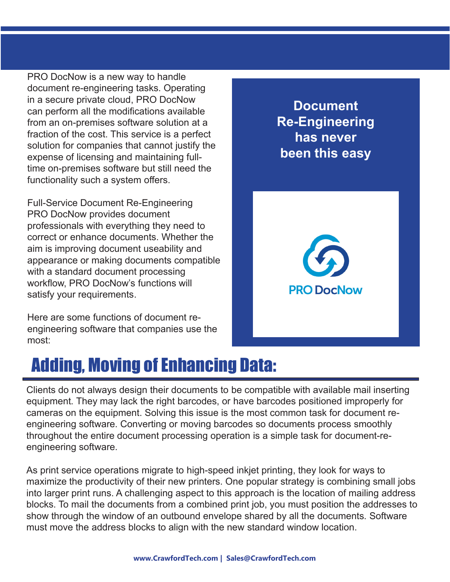PRO DocNow is a new way to handle document re-engineering tasks. Operating in a secure private cloud, PRO DocNow can perform all the modifications available from an on-premises software solution at a fraction of the cost. This service is a perfect solution for companies that cannot justify the expense of licensing and maintaining fulltime on-premises software but still need the functionality such a system offers.

Full-Service Document Re-Engineering PRO DocNow provides document professionals with everything they need to correct or enhance documents. Whether the aim is improving document useability and appearance or making documents compatible with a standard document processing workflow, PRO DocNow's functions will satisfy your requirements.

Here are some functions of document reengineering software that companies use the most:

#### **Document Re-Engineering has never been this easy**



## **Adding, Moving of Enhancing Data:**

Clients do not always design their documents to be compatible with available mail inserting equipment. They may lack the right barcodes, or have barcodes positioned improperly for cameras on the equipment. Solving this issue is the most common task for document reengineering software. Converting or moving barcodes so documents process smoothly throughout the entire document processing operation is a simple task for document-reengineering software.

As print service operations migrate to high-speed inkjet printing, they look for ways to maximize the productivity of their new printers. One popular strategy is combining small jobs into larger print runs. A challenging aspect to this approach is the location of mailing address blocks. To mail the documents from a combined print job, you must position the addresses to show through the window of an outbound envelope shared by all the documents. Software must move the address blocks to align with the new standard window location.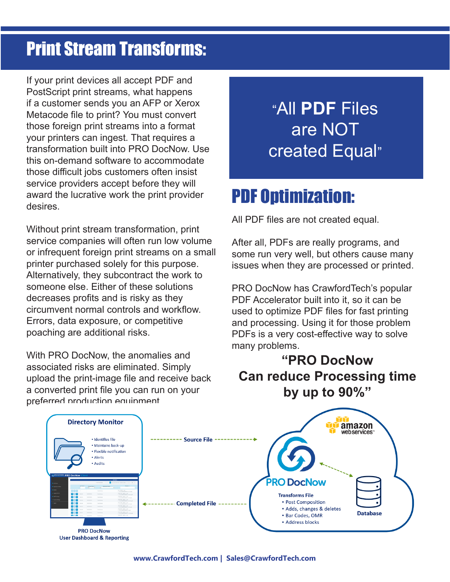## **Print Stream Transforms:**

If your print devices all accept PDF and PostScript print streams, what happens if a customer sends you an AFP or Xerox Metacode file to print? You must convert those foreign print streams into a format your printers can ingest. That requires a transformation built into PRO DocNow. Use this on-demand software to accommodate those difficult jobs customers often insist service providers accept before they will award the lucrative work the print provider desires.

Without print stream transformation, print service companies will often run low volume or infrequent foreign print streams on a small printer purchased solely for this purpose. Alternatively, they subcontract the work to someone else. Either of these solutions decreases profits and is risky as they circumvent normal controls and workflow. Errors, data exposure, or competitive poaching are additional risks.

With PRO DocNow, the anomalies and associated risks are eliminated. Simply upload the print-image file and receive back a converted print file you can run on your preferred production equipment.

## **"**All **PDF** Files are NOT created Equal**"**

## **PDF Optimization:**

All PDF files are not created equal.

After all, PDFs are really programs, and some run very well, but others cause many issues when they are processed or printed.

PRO DocNow has CrawfordTech's popular PDF Accelerator built into it, so it can be used to optimize PDF files for fast printing and processing. Using it for those problem PDFs is a very cost-effective way to solve many problems.

#### **"PRO DocNow Can reduce Processing time by up to 90%"**

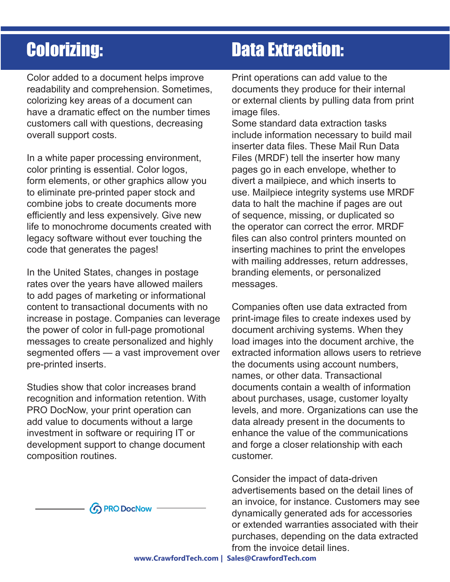## **Colorizing:**

Color added to a document helps improve readability and comprehension. Sometimes, colorizing key areas of a document can have a dramatic effect on the number times customers call with questions, decreasing overall support costs.

In a white paper processing environment, color printing is essential. Color logos, form elements, or other graphics allow you to eliminate pre-printed paper stock and combine jobs to create documents more efficiently and less expensively. Give new life to monochrome documents created with legacy software without ever touching the code that generates the pages!

In the United States, changes in postage rates over the years have allowed mailers to add pages of marketing or informational content to transactional documents with no increase in postage. Companies can leverage the power of color in full-page promotional messages to create personalized and highly segmented offers — a vast improvement over pre-printed inserts.

Studies show that color increases brand recognition and information retention. With PRO DocNow, your print operation can add value to documents without a large investment in software or requiring IT or development support to change document composition routines.



## **Data Extraction:**

Print operations can add value to the documents they produce for their internal or external clients by pulling data from print image files.

Some standard data extraction tasks include information necessary to build mail inserter data files. These Mail Run Data Files (MRDF) tell the inserter how many pages go in each envelope, whether to divert a mailpiece, and which inserts to use. Mailpiece integrity systems use MRDF data to halt the machine if pages are out of sequence, missing, or duplicated so the operator can correct the error. MRDF files can also control printers mounted on inserting machines to print the envelopes with mailing addresses, return addresses, branding elements, or personalized messages.

Companies often use data extracted from print-image files to create indexes used by document archiving systems. When they load images into the document archive, the extracted information allows users to retrieve the documents using account numbers, names, or other data. Transactional documents contain a wealth of information about purchases, usage, customer loyalty levels, and more. Organizations can use the data already present in the documents to enhance the value of the communications and forge a closer relationship with each customer.

Consider the impact of data-driven advertisements based on the detail lines of an invoice, for instance. Customers may see dynamically generated ads for accessories or extended warranties associated with their purchases, depending on the data extracted from the invoice detail lines.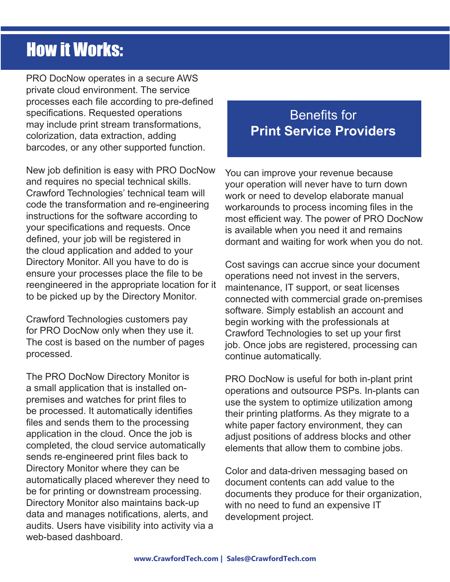## **How it Works:**

PRO DocNow operates in a secure AWS private cloud environment. The service processes each file according to pre-defined specifications. Requested operations may include print stream transformations, colorization, data extraction, adding barcodes, or any other supported function.

New job definition is easy with PRO DocNow and requires no special technical skills. Crawford Technologies' technical team will code the transformation and re-engineering instructions for the software according to your specifications and requests. Once defined, your job will be registered in the cloud application and added to your Directory Monitor. All you have to do is ensure your processes place the file to be reengineered in the appropriate location for it to be picked up by the Directory Monitor.

Crawford Technologies customers pay for PRO DocNow only when they use it. The cost is based on the number of pages processed.

The PRO DocNow Directory Monitor is a small application that is installed onpremises and watches for print files to be processed. It automatically identifies files and sends them to the processing application in the cloud. Once the job is completed, the cloud service automatically sends re-engineered print files back to Directory Monitor where they can be automatically placed wherever they need to be for printing or downstream processing. Directory Monitor also maintains back-up data and manages notifications, alerts, and audits. Users have visibility into activity via a web-based dashboard.

#### Benefits for **Print Service Providers**

You can improve your revenue because your operation will never have to turn down work or need to develop elaborate manual workarounds to process incoming files in the most efficient way. The power of PRO DocNow is available when you need it and remains dormant and waiting for work when you do not.

Cost savings can accrue since your document operations need not invest in the servers, maintenance, IT support, or seat licenses connected with commercial grade on-premises software. Simply establish an account and begin working with the professionals at Crawford Technologies to set up your first job. Once jobs are registered, processing can continue automatically.

PRO DocNow is useful for both in-plant print operations and outsource PSPs. In-plants can use the system to optimize utilization among their printing platforms. As they migrate to a white paper factory environment, they can adjust positions of address blocks and other elements that allow them to combine jobs.

Color and data-driven messaging based on document contents can add value to the documents they produce for their organization, with no need to fund an expensive IT development project.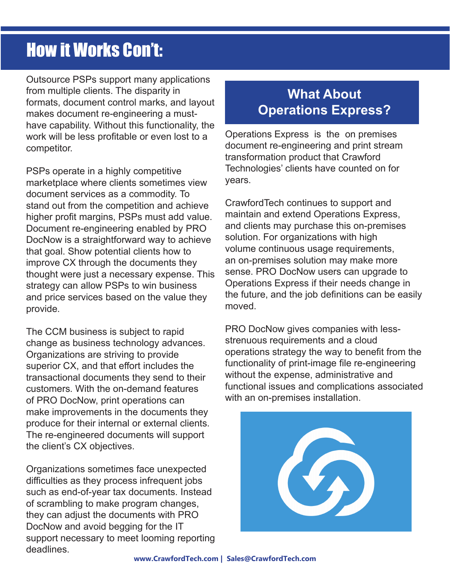## **How it Works Con't:**

Outsource PSPs support many applications from multiple clients. The disparity in formats, document control marks, and layout makes document re-engineering a musthave capability. Without this functionality, the work will be less profitable or even lost to a competitor.

PSPs operate in a highly competitive marketplace where clients sometimes view document services as a commodity. To stand out from the competition and achieve higher profit margins, PSPs must add value. Document re-engineering enabled by PRO DocNow is a straightforward way to achieve that goal. Show potential clients how to improve CX through the documents they thought were just a necessary expense. This strategy can allow PSPs to win business and price services based on the value they provide.

The CCM business is subject to rapid change as business technology advances. Organizations are striving to provide superior CX, and that effort includes the transactional documents they send to their customers. With the on-demand features of PRO DocNow, print operations can make improvements in the documents they produce for their internal or external clients. The re-engineered documents will support the client's CX objectives.

Organizations sometimes face unexpected difficulties as they process infrequent jobs such as end-of-year tax documents. Instead of scrambling to make program changes, they can adjust the documents with PRO DocNow and avoid begging for the IT support necessary to meet looming reporting deadlines.

#### **What About Operations Express?**

Operations Express is the on premises document re-engineering and print stream transformation product that Crawford Technologies' clients have counted on for years.

CrawfordTech continues to support and maintain and extend Operations Express, and clients may purchase this on-premises solution. For organizations with high volume continuous usage requirements, an on-premises solution may make more sense. PRO DocNow users can upgrade to Operations Express if their needs change in the future, and the job definitions can be easily moved.

PRO DocNow gives companies with lessstrenuous requirements and a cloud operations strategy the way to benefit from the functionality of print-image file re-engineering without the expense, administrative and functional issues and complications associated with an on-premises installation.

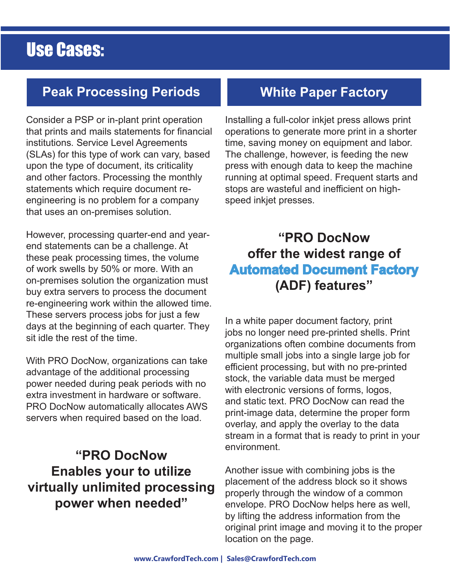### **Use Cases:**

#### **Peak Processing Periods**

Consider a PSP or in-plant print operation that prints and mails statements for financial institutions. Service Level Agreements (SLAs) for this type of work can vary, based upon the type of document, its criticality and other factors. Processing the monthly statements which require document reengineering is no problem for a company that uses an on-premises solution.

However, processing quarter-end and yearend statements can be a challenge. At these peak processing times, the volume of work swells by 50% or more. With an on-premises solution the organization must buy extra servers to process the document re-engineering work within the allowed time. These servers process jobs for just a few days at the beginning of each quarter. They sit idle the rest of the time.

With PRO DocNow, organizations can take advantage of the additional processing power needed during peak periods with no extra investment in hardware or software. PRO DocNow automatically allocates AWS servers when required based on the load.

#### **"PRO DocNow Enables your to utilize virtually unlimited processing power when needed"**

#### **White Paper Factory**

Installing a full-color inkjet press allows print operations to generate more print in a shorter time, saving money on equipment and labor. The challenge, however, is feeding the new press with enough data to keep the machine running at optimal speed. Frequent starts and stops are wasteful and inefficient on highspeed inkjet presses.

#### **Automated Document Factory "PRO DocNow offer the widest range of (ADF) features"**

In a white paper document factory, print jobs no longer need pre-printed shells. Print organizations often combine documents from multiple small jobs into a single large job for efficient processing, but with no pre-printed stock, the variable data must be merged with electronic versions of forms, logos, and static text. PRO DocNow can read the print-image data, determine the proper form overlay, and apply the overlay to the data stream in a format that is ready to print in your environment.

Another issue with combining jobs is the placement of the address block so it shows properly through the window of a common envelope. PRO DocNow helps here as well, by lifting the address information from the original print image and moving it to the proper location on the page.